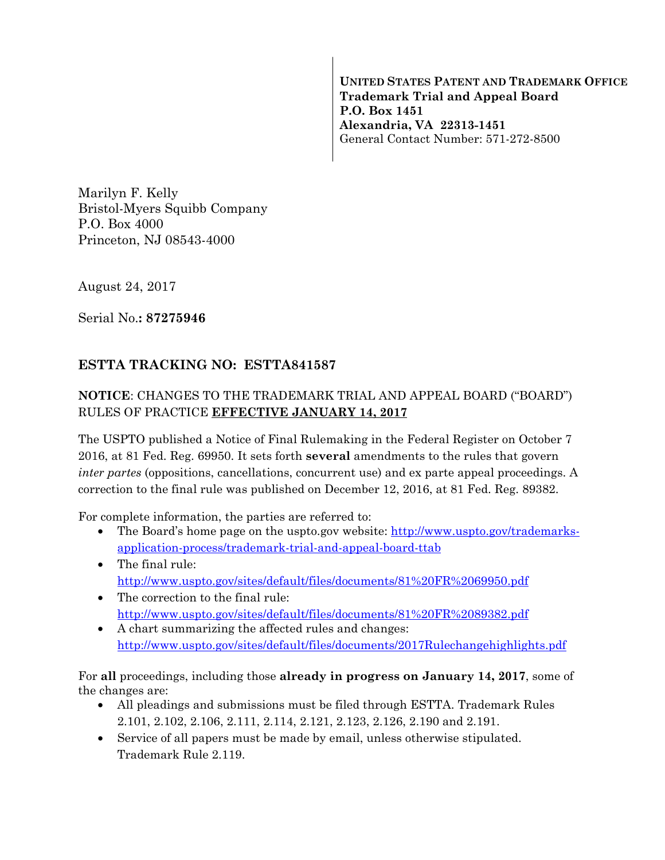**UNITED STATES PATENT AND TRADEMARK OFFICE Trademark Trial and Appeal Board P.O. Box 1451 Alexandria, VA 22313-1451**  General Contact Number: 571-272-8500

Marilyn F. Kelly Bristol-Myers Squibb Company P.O. Box 4000 Princeton, NJ 08543-4000

August 24, 2017

Serial No.**: 87275946** 

## **ESTTA TRACKING NO: ESTTA841587**

## **NOTICE**: CHANGES TO THE TRADEMARK TRIAL AND APPEAL BOARD ("BOARD") RULES OF PRACTICE **EFFECTIVE JANUARY 14, 2017**

The USPTO published a Notice of Final Rulemaking in the Federal Register on October 7 2016, at 81 Fed. Reg. 69950. It sets forth **several** amendments to the rules that govern *inter partes* (oppositions, cancellations, concurrent use) and ex parte appeal proceedings. A correction to the final rule was published on December 12, 2016, at 81 Fed. Reg. 89382.

For complete information, the parties are referred to:

- The Board's home page on the uspto.gov website: http://www.uspto.gov/trademarksapplication-process/trademark-trial-and-appeal-board-ttab
- The final rule: http://www.uspto.gov/sites/default/files/documents/81%20FR%2069950.pdf
- The correction to the final rule: http://www.uspto.gov/sites/default/files/documents/81%20FR%2089382.pdf
- A chart summarizing the affected rules and changes: http://www.uspto.gov/sites/default/files/documents/2017Rulechangehighlights.pdf

For **all** proceedings, including those **already in progress on January 14, 2017**, some of the changes are:

- All pleadings and submissions must be filed through ESTTA. Trademark Rules 2.101, 2.102, 2.106, 2.111, 2.114, 2.121, 2.123, 2.126, 2.190 and 2.191.
- Service of all papers must be made by email, unless otherwise stipulated. Trademark Rule 2.119.